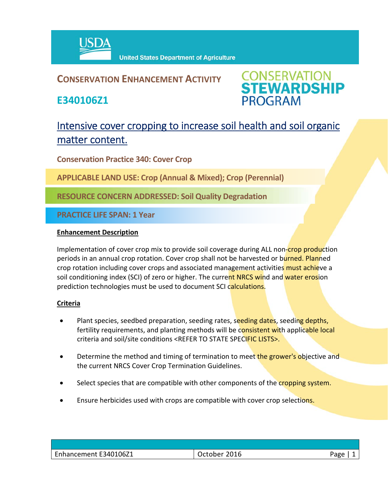

## **CONSERVATION ENHANCEMENT ACTIVITY**

**E340106Z1**



# Intensive cover cropping to increase soil health and soil organic matter content.

**Conservation Practice 340: Cover Crop**

**APPLICABLE LAND USE: Crop (Annual & Mixed); Crop (Perennial)**

**RESOURCE CONCERN ADDRESSED: Soil Quality Degradation**

**PRACTICE LIFE SPAN: 1 Year**

### **Enhancement Description**

Implementation of cover crop mix to provide soil coverage during ALL non-crop production periods in an annual crop rotation. Cover crop shall not be harvested or burned. Planned crop rotation including cover crops and associated management activities must achieve a soil conditioning index (SCI) of zero or higher. The current NRCS wind and water erosion prediction technologies must be used to document SCI calculations.

### **Criteria**

- Plant species, seedbed preparation, seeding rates, seeding dates, seeding depths, fertility requirements, and planting methods will be consistent with applicable local criteria and soil/site conditions <REFER TO STATE SPECIFIC LISTS>.
- Determine the method and timing of termination to meet the grower's objective and the current NRCS Cover Crop Termination Guidelines.
- Select species that are compatible with other components of the cropping system.
- Ensure herbicides used with crops are compatible with cover crop selections.

| Enhancement E340106Z1 | 2016<br>ctober. | Page |
|-----------------------|-----------------|------|